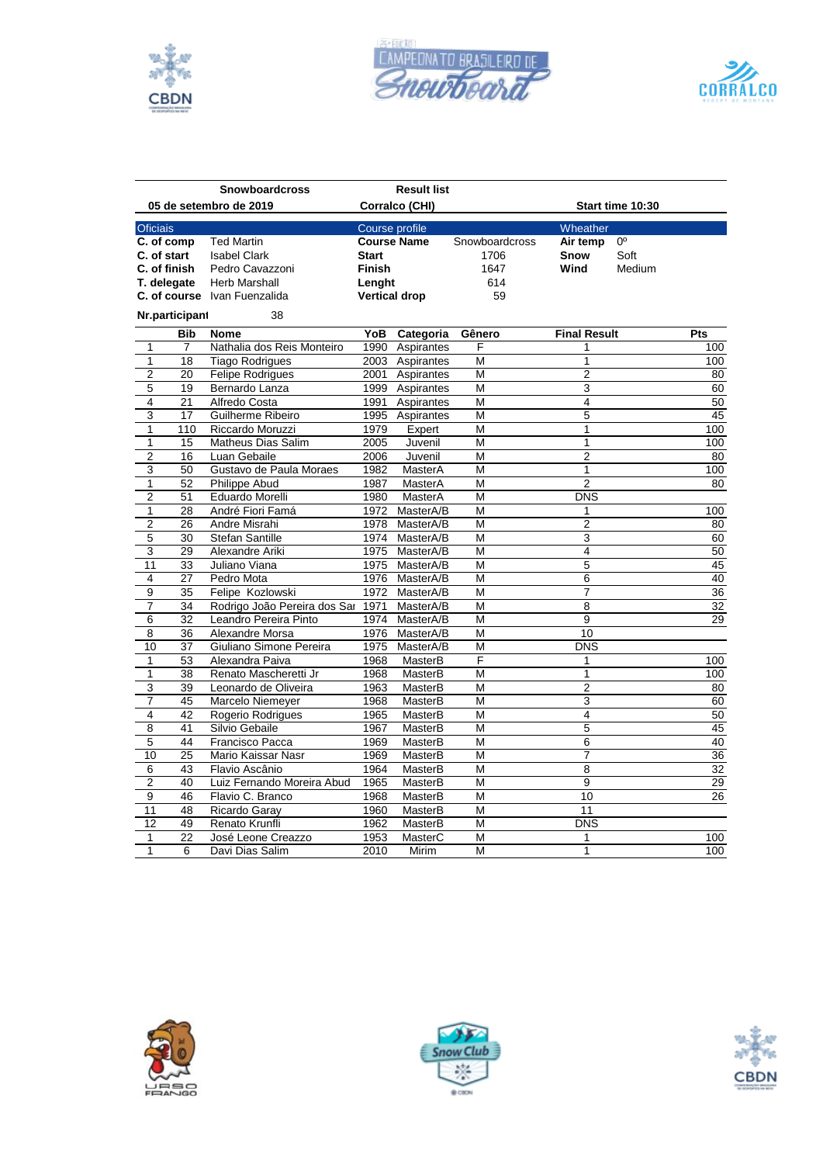





|                 |                 | <b>Snowboardcross</b>             |               | <b>Result list</b>   |                |                     |                  |                 |
|-----------------|-----------------|-----------------------------------|---------------|----------------------|----------------|---------------------|------------------|-----------------|
|                 |                 | 05 de setembro de 2019            |               | Corralco (CHI)       |                |                     | Start time 10:30 |                 |
| <b>Oficiais</b> |                 |                                   |               | Course profile       |                | Wheather            |                  |                 |
| C. of comp      |                 | <b>Ted Martin</b>                 |               | <b>Course Name</b>   | Snowboardcross | Air temp            | $0^{\circ}$      |                 |
| C. of start     |                 | <b>Isabel Clark</b>               | <b>Start</b>  |                      | 1706           | Snow                | Soft             |                 |
|                 | C. of finish    | Pedro Cavazzoni                   | <b>Finish</b> |                      | 1647           | Wind                | Medium           |                 |
|                 | T. delegate     | <b>Herb Marshall</b>              | Lenght        |                      | 614            |                     |                  |                 |
|                 |                 | C. of course Ivan Fuenzalida      |               | <b>Vertical drop</b> | 59             |                     |                  |                 |
|                 | Nr.participant  | 38                                |               |                      |                |                     |                  |                 |
|                 | <b>Bib</b>      | <b>Nome</b>                       | YoB           | Categoria            | Gênero         | <b>Final Result</b> |                  | Pts             |
| 1               | 7               | Nathalia dos Reis Monteiro        |               | 1990 Aspirantes      | F              | 1                   |                  | 100             |
| $\mathbf{1}$    | 18              | <b>Tiago Rodrigues</b>            |               | 2003 Aspirantes      | M              | 1                   |                  | 100             |
| $\overline{2}$  | 20              | <b>Felipe Rodrigues</b>           |               | 2001 Aspirantes      | M              | $\overline{2}$      |                  | 80              |
| 5               | 19              | Bernardo Lanza                    |               | 1999 Aspirantes      | M              | $\overline{3}$      |                  | 60              |
| 4               | 21              | Alfredo Costa                     |               | 1991 Aspirantes      | M              | 4                   |                  | 50              |
| 3               | 17              | Guilherme Ribeiro                 |               | 1995 Aspirantes      | M              | 5                   |                  | 45              |
| 1               | 110             | Riccardo Moruzzi                  | 1979          | Expert               | M              | 1                   |                  | 100             |
| $\mathbf{1}$    | 15              | Matheus Dias Salim                | 2005          | Juvenil              | M              | 1                   |                  | 100             |
| $\overline{2}$  | 16              | Luan Gebaile                      | 2006          | Juvenil              | M              | $\overline{2}$      |                  | 80              |
| 3               | 50              | Gustavo de Paula Moraes           | 1982          | MasterA              | M              | 1                   |                  | 100             |
| 1               | 52              | <b>Philippe Abud</b>              | 1987          | MasterA              | M              | $\overline{2}$      |                  | 80              |
| $\overline{2}$  | 51              | Eduardo Morelli                   | 1980          | MasterA              | M              | <b>DNS</b>          |                  |                 |
| $\mathbf{1}$    | 28              | André Fiori Famá                  | 1972          | MasterA/B            | M              | 1                   |                  | 100             |
| $\overline{2}$  | 26              | Andre Misrahi                     | 1978          | MasterA/B            | M              | $\overline{2}$      |                  | 80              |
| 5               | 30              | <b>Stefan Santille</b>            | 1974          | MasterA/B            | M              | 3                   |                  | 60              |
| $\overline{3}$  | 29              | Alexandre Ariki                   | 1975          | MasterA/B            | M              | 4                   |                  | 50              |
| 11              | 33              | Juliano Viana                     | 1975          | MasterA/B            | M              | 5                   |                  | 45              |
| 4               | 27              | Pedro Mota                        | 1976          | MasterA/B            | M              | 6                   |                  | 40              |
| 9               | 35              | Felipe Kozlowski                  | 1972          | MasterA/B            | M              | 7                   |                  | $\overline{36}$ |
| 7               | 34              | Rodrigo João Pereira dos Sar 1971 |               | MasterA/B            | M              | $\overline{8}$      |                  | 32              |
| 6               | 32              | Leandro Pereira Pinto             | 1974          | MasterA/B            | M              | 9                   |                  | 29              |
| $\overline{8}$  | 36              | Alexandre Morsa                   | 1976          | MasterA/B            | M              | 10                  |                  |                 |
| 10              | 37              | Giuliano Simone Pereira           | 1975          | MasterA/B            | M              | <b>DNS</b>          |                  |                 |
| $\mathbf{1}$    | 53              | Alexandra Paiva                   | 1968          | MasterB              | F              | 1                   |                  | 100             |
| $\mathbf{1}$    | 38              | Renato Mascheretti Jr             | 1968          | MasterB              | M              | 1                   |                  | 100             |
| 3               | $\overline{39}$ | Leonardo de Oliveira              | 1963          | MasterB              | M              | $\overline{2}$      |                  | 80              |
| $\overline{7}$  | 45              | Marcelo Niemeyer                  | 1968          | MasterB              | M              | 3                   |                  | 60              |
| $\overline{4}$  | 42              | Rogerio Rodrigues                 | 1965          | MasterB              | M              | 4                   |                  | 50              |
| 8               | 41              | Silvio Gebaile                    | 1967          | <b>MasterB</b>       | M              | 5                   |                  | 45              |
| 5               | 44              | Francisco Pacca                   | 1969          | MasterB              | M              | 6                   |                  | 40              |
| 10              | 25              | Mario Kaissar Nasr                | 1969          | MasterB              | M              | 7                   |                  | $\overline{36}$ |
| 6               | 43              | Flavio Ascânio                    | 1964          | MasterB              | M              | 8                   |                  | 32              |
| $\overline{2}$  | 40              | Luiz Fernando Moreira Abud        | 1965          | MasterB              | M              | 9                   |                  | 29              |
| 9               | 46              | Flavio C. Branco                  | 1968          | MasterB              | M              | 10                  |                  | 26              |
| $\overline{11}$ | 48              | Ricardo Garay                     | 1960          | MasterB              | M              | 11                  |                  |                 |
| 12              | 49              | Renato Krunfli                    | 1962          | MasterB              | M              | <b>DNS</b>          |                  |                 |
| 1               | 22              | José Leone Creazzo                | 1953          | MasterC              | M              | 1                   |                  | 100             |
| 1               | 6               | Davi Dias Salim                   | 2010          | Mirim                | M              | 1                   |                  | 100             |





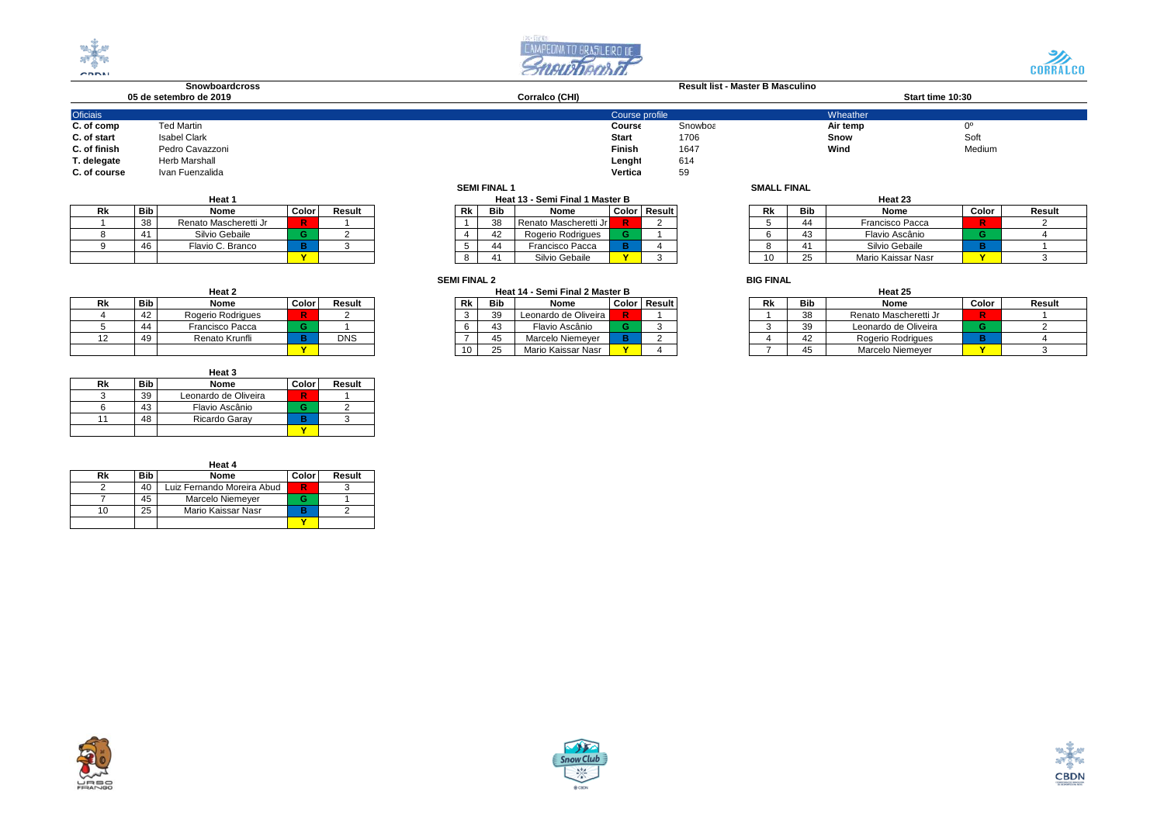





## **Snowboardcross Result list - Master B Masculino 05 de setembro de 2019 Corralco (CHI) Start time 10:30**

| <b>Oficiais</b><br>Wheather<br>Course profile<br><b>Ted Martin</b><br>C. of comp<br><b>Snowboε</b><br>Air temp<br>Course<br><b>Isabel Clark</b><br>C. of start<br><b>Start</b><br>1706<br>Snow<br>C. of finish<br>Finish<br>Wind<br>Pedro Cavazzoni<br>1647<br>T. delegate<br><b>Herb Marshall</b><br>Lenght<br>614<br>Vertica<br>Ivan Fuenzalida<br>59<br>C. of course |  |  | --------------- |
|-------------------------------------------------------------------------------------------------------------------------------------------------------------------------------------------------------------------------------------------------------------------------------------------------------------------------------------------------------------------------|--|--|-----------------|
|                                                                                                                                                                                                                                                                                                                                                                         |  |  |                 |
|                                                                                                                                                                                                                                                                                                                                                                         |  |  | $0^{\circ}$     |
|                                                                                                                                                                                                                                                                                                                                                                         |  |  | Soft            |
|                                                                                                                                                                                                                                                                                                                                                                         |  |  | Medium          |
|                                                                                                                                                                                                                                                                                                                                                                         |  |  |                 |
|                                                                                                                                                                                                                                                                                                                                                                         |  |  |                 |

|    |            | Heat 1                |       |        |
|----|------------|-----------------------|-------|--------|
| Rk | <b>Bib</b> | Nome                  | Color | Result |
|    | 38         | Renato Mascheretti Jr |       |        |
|    | 41         | Silvio Gebaile        |       |        |
|    | 46         | Flavio C. Branco      |       |        |
|    |            |                       |       |        |

|    |            | Heat 2            |       |            |
|----|------------|-------------------|-------|------------|
| Rk | <b>Bib</b> | Nome              | Color | Result     |
|    | 42         | Rogerio Rodrigues |       |            |
|    | 44         | Francisco Pacca   |       |            |
|    | 49         | Renato Krunfli    |       | <b>DNS</b> |
|    |            |                   |       |            |

|    |            | Heat 3               |              |        |
|----|------------|----------------------|--------------|--------|
| Rk | <b>Bib</b> | Nome                 | <b>Color</b> | Result |
|    | 39         | Leonardo de Oliveira |              |        |
|    |            | Flavio Ascânio       |              |        |
|    |            | Ricardo Garay        |              |        |
|    |            |                      |              |        |

|    |     | Heat 4                     |       |        |
|----|-----|----------------------------|-------|--------|
| Rk | Bib | Nome                       | Color | Result |
|    | 40  | Luiz Fernando Moreira Abud |       |        |
|    | 45  | Marcelo Niemever           |       |        |
| ۱n | 25  | Mario Kaissar Nasr         |       |        |
|    |     |                            |       |        |

## **SEMI FINAL 1 SMALL FINAL**

de la construcción de la construcción de la construcción de la construcción de la construcción de la construcción de la construcción de la construcción de la construcción de la construcción de la construcción de la constru

| Heat <sup>.</sup> |         |        |    |            | Heat 13 - Semi Final 1 Master B |   |                |    |                | Heat 23       |
|-------------------|---------|--------|----|------------|---------------------------------|---|----------------|----|----------------|---------------|
| Nome              | Color   | Result | Rk | <b>Bib</b> | Nome                            |   | Color   Result | Rk | <b>Bib</b>     | Nome          |
| Mascheretti Jr    | R       |        |    | 38         | Renato Mascheretti Jr           |   |                |    | 44             | Francisco Pa  |
| io Gebaile        |         |        |    | 42         | Rogerio Rodrigues               | G |                |    | 43             | Flavio Ascá   |
| o C. Branco       |         |        |    | 44         | Francisco Pacca                 |   |                |    | 4 <sup>1</sup> | Silvio Geba   |
|                   | $\cdot$ |        |    | 41         | Silvio Gebaile                  |   |                | 10 | 25             | Mario Kaissar |

## **SEMI FINAL 2 BIG FINAL**

| Heat 2       |       |        |    |            | Heat 14 - Semi Final 2 Master B |   |              |    |            | Heat 25       |
|--------------|-------|--------|----|------------|---------------------------------|---|--------------|----|------------|---------------|
| Nome         | Color | Result | Rk | <b>Bib</b> | Nome                            |   | Color Result | Rk | <b>Bib</b> | Nome          |
| io Rodriaues | R     |        |    | 39         | Leonardo de Oliveira            | R |              |    | 38         | Renato Masch  |
| cisco Pacca  |       |        |    | 43         | Flavio Ascânio                  |   |              |    | 39         | Leonardo de C |
| ıato Krunfli |       | DNS    |    | 45         | Marcelo Niemever                |   |              |    | 42         | Rogerio Rodr  |
|              |       |        |    | 25         | Mario Kaissar Nasr              |   |              |    | 45         | Marcelo Nien  |

|        | Heat 1                |       |        | Heat 13 - Semi Final 1 Master B |    |          |                       |              |              |  | Heat 23 |     |                    |       |        |  |
|--------|-----------------------|-------|--------|---------------------------------|----|----------|-----------------------|--------------|--------------|--|---------|-----|--------------------|-------|--------|--|
| Bib    | Nome                  | Color | Result |                                 | Rk | Bib      | Nome                  |              | Color Result |  | Rk      | Bib | Nome               | Color | Result |  |
| $\sim$ | Renato Mascheretti Jr | R.    |        |                                 |    | 38       | Renato Mascheretti Jr |              |              |  |         |     | Francisco Pacca    |       |        |  |
|        | Silvio Gebaile        |       |        |                                 |    | $\Delta$ | Rogerio Rodrigues     |              |              |  |         |     | Flavio Ascânio     |       |        |  |
|        | Flavio C. Branco      |       |        |                                 |    |          | Francisco Pacca       |              |              |  |         |     | Silvio Gebaile     |       |        |  |
|        |                       |       |        |                                 |    |          | Silvio Gebaile        | $\mathbf{v}$ |              |  |         |     | Mario Kaissar Nasr |       |        |  |

|   |            | Heat 2            |       |            | Heat 14 - Semi Final 2 Master B |        |                        |  |                     |  |    |                | Heat 25               |       |        |  |  |  |
|---|------------|-------------------|-------|------------|---------------------------------|--------|------------------------|--|---------------------|--|----|----------------|-----------------------|-------|--------|--|--|--|
|   | <b>Bib</b> | Nome              | Color | Result     |                                 | Bib    | Nome                   |  | <b>Color Result</b> |  | Rk | <b>Bib</b>     | Nome                  | Color | Result |  |  |  |
|   |            | Rogerio Rodrigues |       |            |                                 | $\sim$ | Leonardo de Oliveira l |  |                     |  |    |                | Renato Mascheretti Jr |       |        |  |  |  |
|   |            | Francisco Pacca   |       |            |                                 |        | Flavio Ascânio         |  |                     |  |    |                | Leonardo de Oliveira  |       |        |  |  |  |
| ຳ |            | Renato Krunfli    |       | <b>DNS</b> |                                 |        | Marcelo Niemever       |  |                     |  |    | $\overline{ }$ | Rogerio Rodrigues     |       |        |  |  |  |
|   |            |                   |       |            | 10                              |        | Mario Kaissar Nasr     |  |                     |  |    |                | Marcelo Niemeyer      |       |        |  |  |  |

# HANG



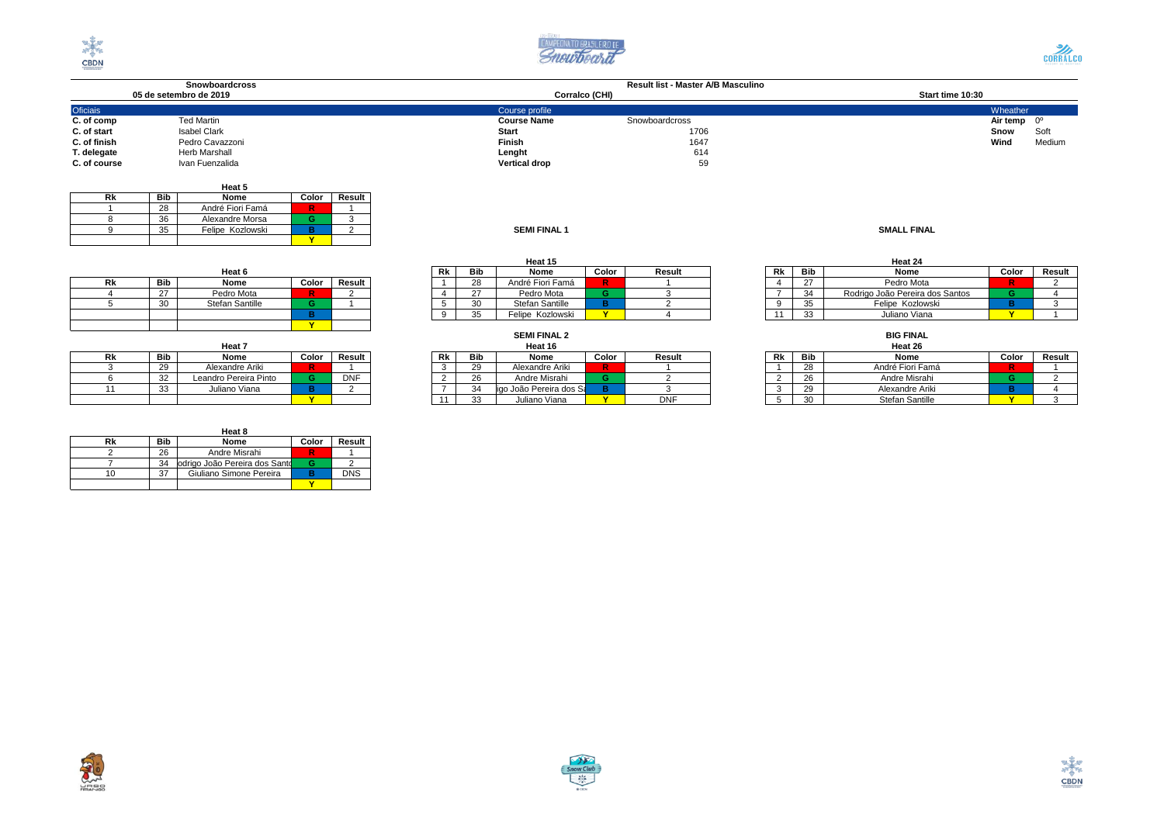





|                 | <b>Snowboardcross</b>  | Result list - Master A/B Masculino   |                      |
|-----------------|------------------------|--------------------------------------|----------------------|
|                 | 05 de setembro de 2019 | Corralco (CHI)                       | Start time 10:30     |
| <b>Oficiais</b> |                        | Course profile                       | Wheather             |
| C. of comp      | <b>Ted Martin</b>      | <b>Course Name</b><br>Snowboardcross | Air temp $0^{\circ}$ |
| C. of start     | Isabel Clark           | 1706<br><b>Start</b>                 | Soft<br>Snow         |
| C. of finish    | Pedro Cavazzoni        | 1647<br>Finish                       | Wind<br>Medium       |
| T. delegate     | <b>Herb Marshall</b>   | 614<br>Lenght                        |                      |
| C. of course    | Ivan Fuenzalida        | <b>Vertical drop</b><br>59           |                      |

|                    |  |        |       | Heat 5           |                  |    |
|--------------------|--|--------|-------|------------------|------------------|----|
|                    |  | Result | Color | Nome             | <b>Bib</b>       | Rk |
|                    |  |        |       | André Fiori Famá | 28               |    |
|                    |  |        |       | Alexandre Morsa  | $\Omega$<br>- 36 |    |
| <b>SMALL FINAL</b> |  |        |       | Felipe Kozlowski | ູບປ              |    |
|                    |  |        | 5.40  |                  |                  |    |

| <b>SEMI FINAL 1</b> |
|---------------------|
|---------------------|

|    |        | Heat 6          |       |        |
|----|--------|-----------------|-------|--------|
| Rk | Bib    | Nome            | Color | Result |
|    | $\sim$ | Pedro Mota      |       |        |
|    | 30     | Stefan Santille |       |        |
|    |        |                 |       |        |
|    |        |                 |       |        |

|    |     | Heat 7                |       |        |
|----|-----|-----------------------|-------|--------|
| Rk | Bib | Nome                  | Color | Result |
|    | 29  | Alexandre Ariki       |       |        |
|    | 32  | Leandro Pereira Pinto |       | DNF    |
|    | 33  | Juliano Viana         |       |        |
|    |     |                       |       |        |

|    |     | Heat 8                        |       |            |
|----|-----|-------------------------------|-------|------------|
| Rk | Bib | Nome                          | Color | Result     |
|    | 26  | Andre Misrahi                 |       |            |
|    | 34  | odrigo João Pereira dos Santo |       |            |
| חו | 37  | Giuliano Simone Pereira       |       | <b>DNS</b> |
|    |     |                               |       |            |

|    |     | Heat 15          |       |        |    |        | Heat 24              |
|----|-----|------------------|-------|--------|----|--------|----------------------|
| Rk | Bib | Nome             | Color | Result | Rk | Bib    | Nome                 |
|    | 28  | André Fiori Famá |       |        |    | $\sim$ | Pedro Mo             |
|    |     | Pedro Mota       |       |        |    | 34     | Rodrigo João Pereira |
|    | 30  | Stefan Santille  |       |        |    | 35     | Felipe Kozlo         |
| ົ  | 35  | Felipe Kozlowski |       |        |    | 33     | Juliano Via          |

| Heat 7          |       |            |  |    |              | Heat 16                  |       | Heat 26    |    |            |                   |
|-----------------|-------|------------|--|----|--------------|--------------------------|-------|------------|----|------------|-------------------|
| Nome            | Color | Result     |  | Rk | <b>Bib</b>   | Nome                     | Color | Result     | Rk | <b>Bib</b> | Nome              |
| andre Ariki     |       |            |  |    | 29           | Alexandre Ariki          | R.    |            |    | 28         | André Fiori F     |
| o Pereira Pinto |       | <b>DNF</b> |  |    | 26           | Andre Misrahi            |       |            |    | 26         | <b>Andre Misr</b> |
| ano Viana       |       |            |  |    | 34           | ligo João Pereira dos Sa |       |            |    | 29         | Alexandre /       |
|                 |       |            |  |    | $\sim$<br>აა | Juliano Viana            | 5.41  | <b>DNF</b> |    | 30         | Stefan San        |

|        |                       |                 |       |        |      | Heat 15<br>Heat 24 |                        |                  |              |     |      |       |        |                                 |  |  |
|--------|-----------------------|-----------------|-------|--------|------|--------------------|------------------------|------------------|--------------|-----|------|-------|--------|---------------------------------|--|--|
| Heat 6 |                       |                 | Rk    | Bib    | Nome | Color              | Result                 |                  | Rk           | Bib | Nome | Color | Result |                                 |  |  |
| ``     | Bib                   | Nome            | Color | Result |      |                    | 28                     | André Fiori Famá | $\mathbf{R}$ |     |      |       | $\sim$ | Pedro Mota                      |  |  |
|        | 27                    | Pedro Mota      |       |        |      |                    | $\sim$<br>$\sim$       | Pedro Mota       |              |     |      |       | 21     | Rodrigo João Pereira dos Santos |  |  |
|        | 30 <sup>°</sup><br>ູບ | Stefan Santille |       |        |      |                    | 30 <sup>o</sup><br>ັບປ | Stefan Santille  |              |     |      |       |        | Felipe Kozlowski                |  |  |
|        |                       |                 |       |        |      |                    | つに<br>ູບ               | Felipe Kozlowski | $\mathbf{v}$ |     |      |       | $\sim$ | Juliano Viana                   |  |  |

## **BIG FINAL**<br>Heat 26 **Rk Bib Nome Color Result Rk Bib Nome Color Result Rk Bib Nome Color Result** 3 29 Alexandre Ariki **R** 1 3 29 Alexandre Ariki **R** 1 1 28 André Fiori Famá **R** 1 6 32 Leandro Pereira Pinto **G** DNF 2 26 Andre Misrahi **G** 2 2 26 Andre Misrahi **G** 2 11 33 Juliano Viana **B** 2 7 34Rodrigo João Pereira dos Santos**B** 3 3 29 Alexandre Ariki **B** 4 **Y** 11 33 Juliano Viana **Y** DNF 5 30 Stefan Santille **Y** 3

| <b>SEMI FINAL 2</b>                    |       |      |
|----------------------------------------|-------|------|
| Heat 16                                |       |      |
| Nome                                   | Color | Resu |
| Alexandre Ariki                        |       |      |
| Andre Misrahi                          | G     |      |
| inn João Pereira dos S: <mark>l</mark> |       |      |



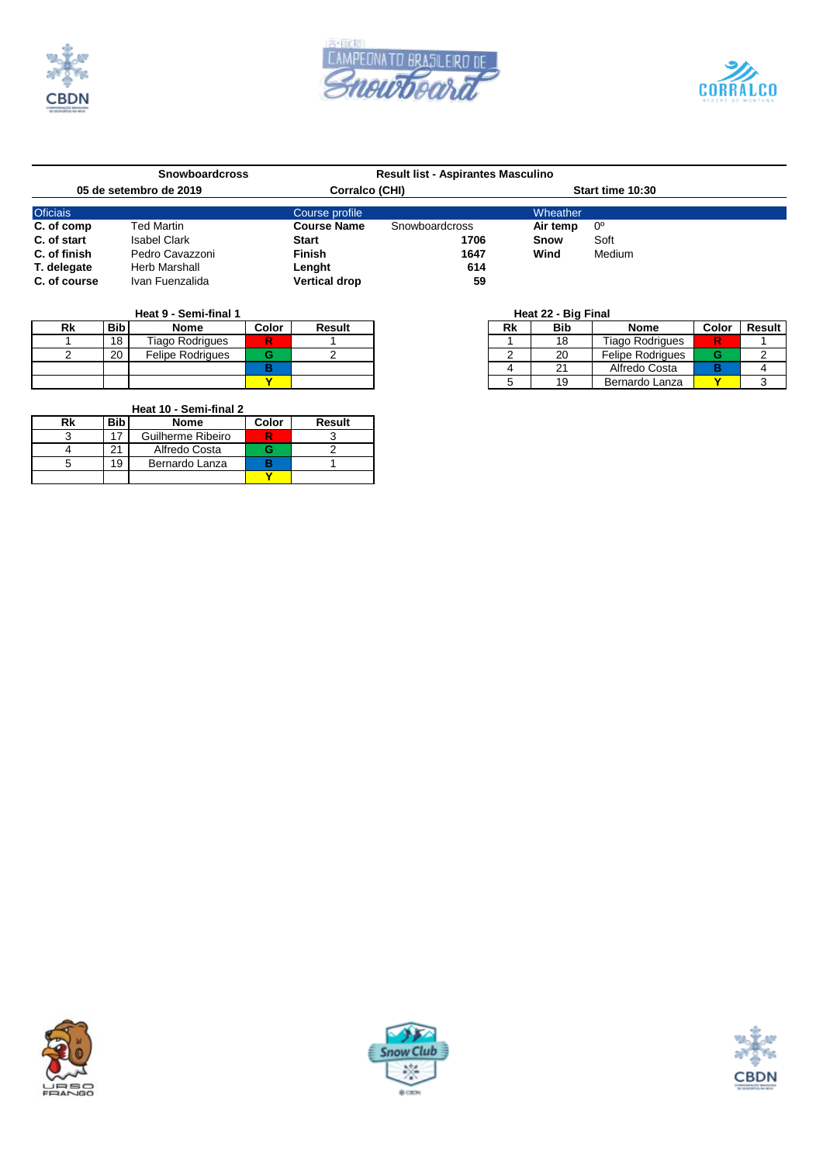

χ.





| <b>Snowboardcross</b>  |                      | <b>Result list - Aspirantes Masculino</b> |                |          |                  |  |
|------------------------|----------------------|-------------------------------------------|----------------|----------|------------------|--|
| 05 de setembro de 2019 |                      | Corralco (CHI)                            |                |          | Start time 10:30 |  |
| <b>Oficiais</b>        |                      | Course profile                            |                | Wheather |                  |  |
| C. of comp             | Ted Martin           | <b>Course Name</b>                        | Snowboardcross | Air temp | 0°               |  |
| C. of start            | <b>Isabel Clark</b>  | <b>Start</b>                              | 1706           | Snow     | Soft             |  |
| C. of finish           | Pedro Cavazzoni      | <b>Finish</b>                             | 1647           | Wind     | Medium           |  |
| T. delegate            | <b>Herb Marshall</b> | Lenght                                    | 614            |          |                  |  |
| C. of course           | Ivan Fuenzalida      | <b>Vertical drop</b>                      | 59             |          |                  |  |

# **Heat 9 - Semi-final 1 Heat 22 - Big Final**

| Rk | <b>Bib</b> | <b>Nome</b>             | Color | Result | Rk | <b>Bib</b> | <b>Nome</b>             | Color | <b>Result</b> |
|----|------------|-------------------------|-------|--------|----|------------|-------------------------|-------|---------------|
|    | 18         | Tiago Rodrigues         | R     |        |    |            | <b>Tiago Rodrigues</b>  |       |               |
|    | 20         | <b>Felipe Rodrigues</b> |       |        |    | 20         | <b>Felipe Rodrigues</b> |       |               |
|    |            |                         |       |        |    |            | Alfredo Costa           |       |               |
|    |            |                         |       |        |    | 10         | Bernardo Lanza          |       |               |

# **Heat 10 - Semi-final 2**

| Rk | Bib<br><b>Nome</b> |                   | Color | <b>Result</b> |
|----|--------------------|-------------------|-------|---------------|
|    |                    | Guilherme Ribeiro |       |               |
|    |                    | Alfredo Costa     |       |               |
|    | 19                 | Bernardo Lanza    |       |               |
|    |                    |                   |       |               |

| olor                    | <b>Result</b> | Rk | <b>Bib</b> | <b>Nome</b>             | Color | <b>Result</b> |
|-------------------------|---------------|----|------------|-------------------------|-------|---------------|
|                         |               |    | 18         | <b>Tiago Rodrigues</b>  |       |               |
|                         |               |    | 20         | <b>Felipe Rodrigues</b> |       |               |
|                         |               |    | 21         | Alfredo Costa           |       |               |
| $\overline{\mathbf{v}}$ |               |    | 19         | Bernardo Lanza          |       |               |





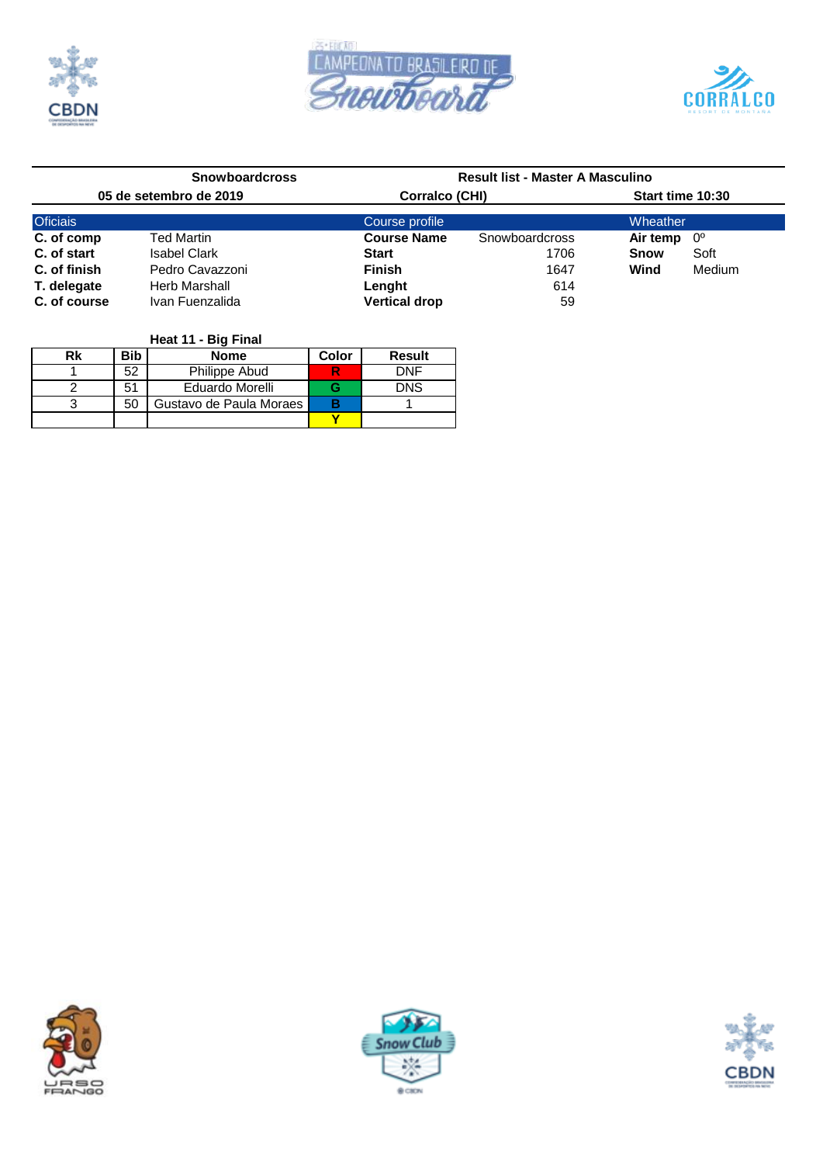





|                        | <b>Snowboardcross</b> | <b>Result list - Master A Masculino</b> |                |                  |        |  |  |  |  |
|------------------------|-----------------------|-----------------------------------------|----------------|------------------|--------|--|--|--|--|
| 05 de setembro de 2019 |                       | Corralco (CHI)                          |                | Start time 10:30 |        |  |  |  |  |
| <b>Oficiais</b>        |                       | Course profile                          |                | Wheather         |        |  |  |  |  |
| C. of comp             | <b>Ted Martin</b>     | <b>Course Name</b>                      | Snowboardcross | Air temp         | 0°     |  |  |  |  |
| C. of start            | <b>Isabel Clark</b>   | <b>Start</b>                            | 1706           | <b>Snow</b>      | Soft   |  |  |  |  |
| C. of finish           | Pedro Cavazzoni       | <b>Finish</b>                           | 1647           | Wind             | Medium |  |  |  |  |
| T. delegate            | Herb Marshall         | Lenght                                  | 614            |                  |        |  |  |  |  |
| C. of course           | Ivan Fuenzalida       | <b>Vertical drop</b>                    | 59             |                  |        |  |  |  |  |

| Heat 11 - Big Final |  |  |
|---------------------|--|--|
|---------------------|--|--|

| Rk | <b>Bib</b> | <b>Nome</b>             | Color | <b>Result</b> |
|----|------------|-------------------------|-------|---------------|
|    | 52         | Philippe Abud           |       | DNF           |
|    | 51         | Eduardo Morelli         |       | <b>DNS</b>    |
|    | 50         | Gustavo de Paula Moraes |       |               |
|    |            |                         |       |               |





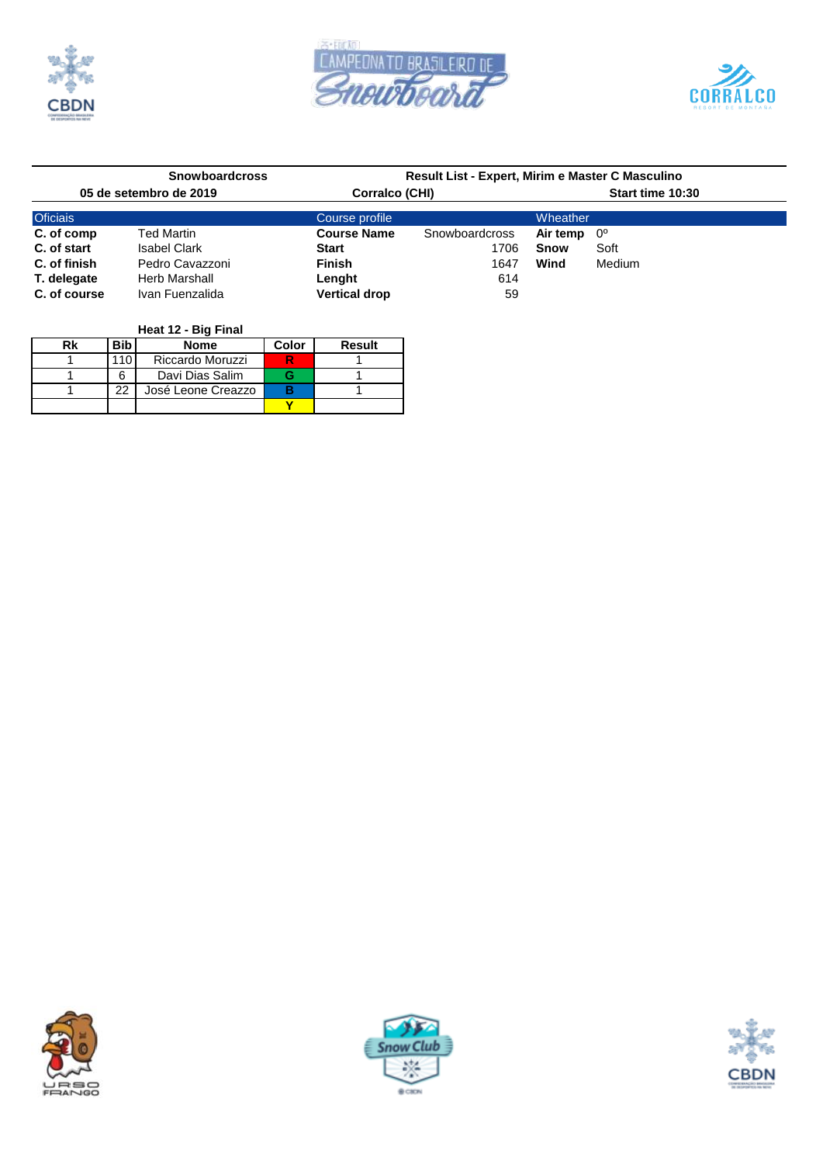





| <b>Snowboardcross</b>  |                      | Result List - Expert, Mirim e Master C Masculino |                  |        |  |  |  |  |
|------------------------|----------------------|--------------------------------------------------|------------------|--------|--|--|--|--|
| 05 de setembro de 2019 |                      |                                                  | Start time 10:30 |        |  |  |  |  |
|                        | Course profile       |                                                  | Wheather         |        |  |  |  |  |
| Ted Martin             | <b>Course Name</b>   | Snowboardcross                                   | Air temp         | _ 0°   |  |  |  |  |
| <b>Isabel Clark</b>    | <b>Start</b>         | 1706                                             | Snow             | Soft   |  |  |  |  |
| Pedro Cavazzoni        | <b>Finish</b>        | 1647                                             | Wind             | Medium |  |  |  |  |
| <b>Herb Marshall</b>   | Lenght               | 614                                              |                  |        |  |  |  |  |
| Ivan Fuenzalida        | <b>Vertical drop</b> | 59                                               |                  |        |  |  |  |  |
|                        |                      |                                                  | Corralco (CHI)   |        |  |  |  |  |

| Rk | <b>Bib</b> | Color              | Result |  |
|----|------------|--------------------|--------|--|
|    | , 1 C      | Riccardo Moruzzi   |        |  |
|    | 6          | Davi Dias Salim    |        |  |
|    | 22         | José Leone Creazzo | в      |  |
|    |            |                    |        |  |





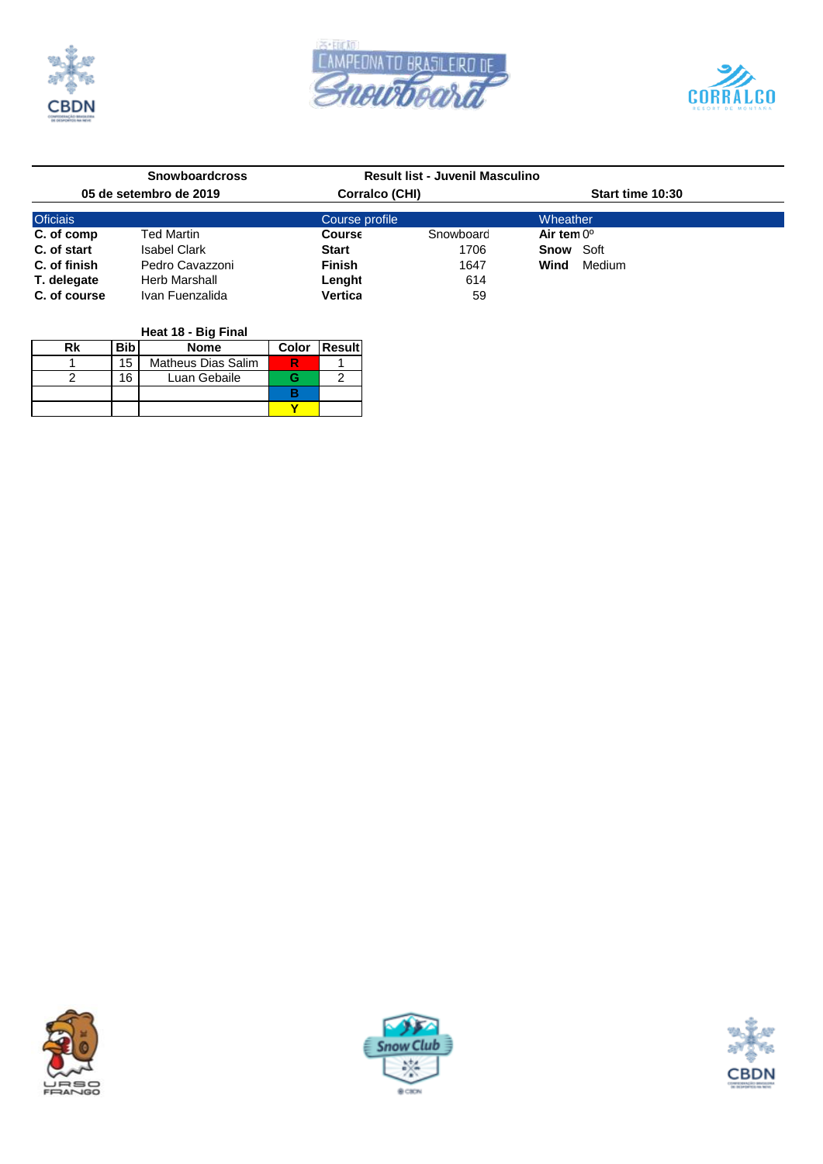





|                        | <b>Snowboardcross</b>              | Result list - Juvenil Masculino |           |                     |                  |  |  |
|------------------------|------------------------------------|---------------------------------|-----------|---------------------|------------------|--|--|
| 05 de setembro de 2019 |                                    | Corralco (CHI)                  |           |                     | Start time 10:30 |  |  |
| <b>Oficiais</b>        |                                    | Course profile                  |           | Wheather            |                  |  |  |
| C. of comp             | <b>Ted Martin</b><br><b>Course</b> |                                 | Snowboard | Air tem $0^{\circ}$ |                  |  |  |
| C. of start            | Isabel Clark                       | <b>Start</b>                    | 1706      | <b>Snow Soft</b>    |                  |  |  |
| C. of finish           | Pedro Cavazzoni                    | <b>Finish</b>                   | 1647      | Wind                | Medium           |  |  |
| T. delegate            | Herb Marshall                      | Lenght                          | 614       |                     |                  |  |  |
| C. of course           | Ivan Fuenzalida                    | Vertica                         | 59        |                     |                  |  |  |

| Heat 18 - Big Final |       |                           |  |  |  |  |  |  |  |  |
|---------------------|-------|---------------------------|--|--|--|--|--|--|--|--|
| Rk                  | Color | <b>IResult</b>            |  |  |  |  |  |  |  |  |
|                     | 15    | <b>Matheus Dias Salim</b> |  |  |  |  |  |  |  |  |
|                     | 16    | Luan Gebaile              |  |  |  |  |  |  |  |  |
|                     |       |                           |  |  |  |  |  |  |  |  |
|                     |       |                           |  |  |  |  |  |  |  |  |





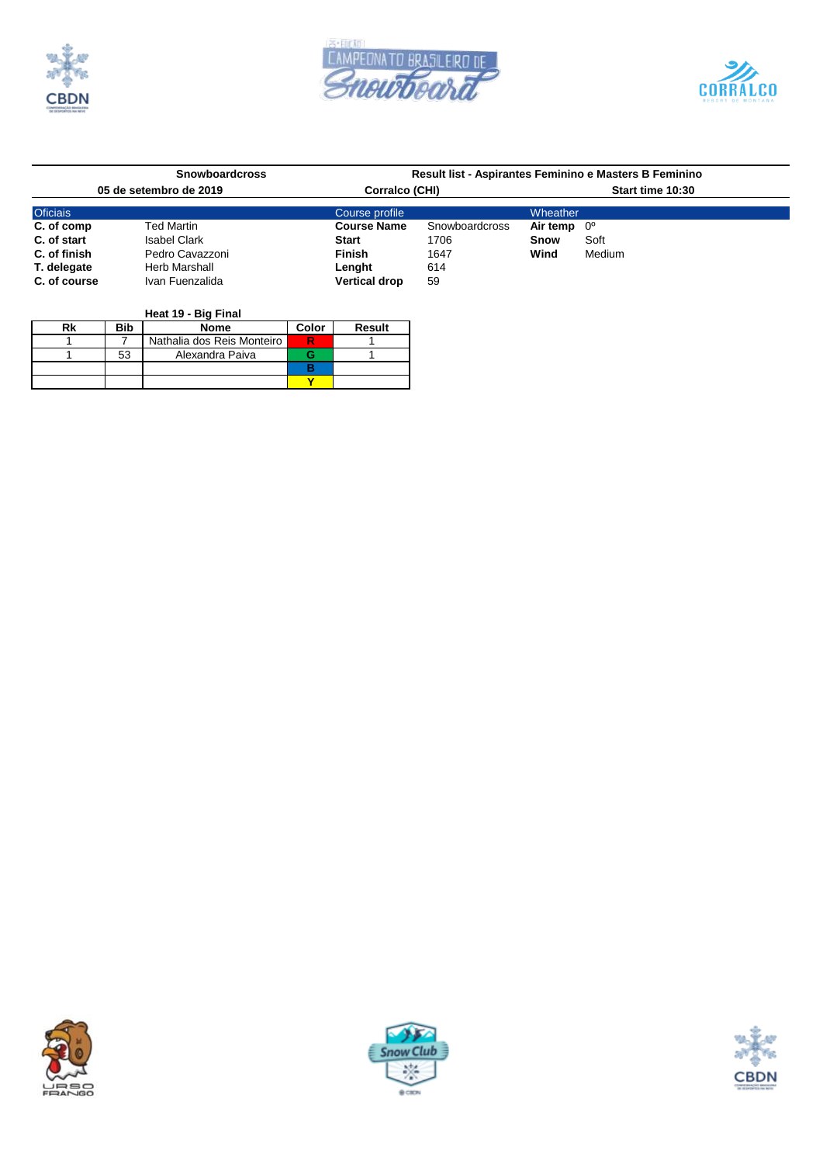





|                        | <b>Snowboardcross</b> |                      |                |                      | Result list - Aspirantes Feminino e Masters B Feminino |  |
|------------------------|-----------------------|----------------------|----------------|----------------------|--------------------------------------------------------|--|
| 05 de setembro de 2019 |                       | Corralco (CHI)       |                | Start time 10:30     |                                                        |  |
| <b>Oficiais</b>        |                       | Course profile       |                | Wheather             |                                                        |  |
| C. of comp             | <b>Ted Martin</b>     | <b>Course Name</b>   | Snowboardcross | Air temp $0^{\circ}$ |                                                        |  |
| C. of start            | <b>Isabel Clark</b>   | <b>Start</b>         | 1706           | Snow                 | Soft                                                   |  |
| C. of finish           | Pedro Cavazzoni       | <b>Finish</b>        | 1647           | Wind                 | Medium                                                 |  |
| T. delegate            | Herb Marshall         | Lenght               | 614            |                      |                                                        |  |
| C. of course           | Ivan Fuenzalida       | <b>Vertical drop</b> | 59             |                      |                                                        |  |

| Heat 19 - Big Final |       |                            |  |  |  |  |  |  |  |  |
|---------------------|-------|----------------------------|--|--|--|--|--|--|--|--|
| Rk                  | Color | <b>Result</b>              |  |  |  |  |  |  |  |  |
|                     |       | Nathalia dos Reis Monteiro |  |  |  |  |  |  |  |  |
|                     | 53    | Alexandra Paiva            |  |  |  |  |  |  |  |  |
|                     |       |                            |  |  |  |  |  |  |  |  |
|                     |       |                            |  |  |  |  |  |  |  |  |





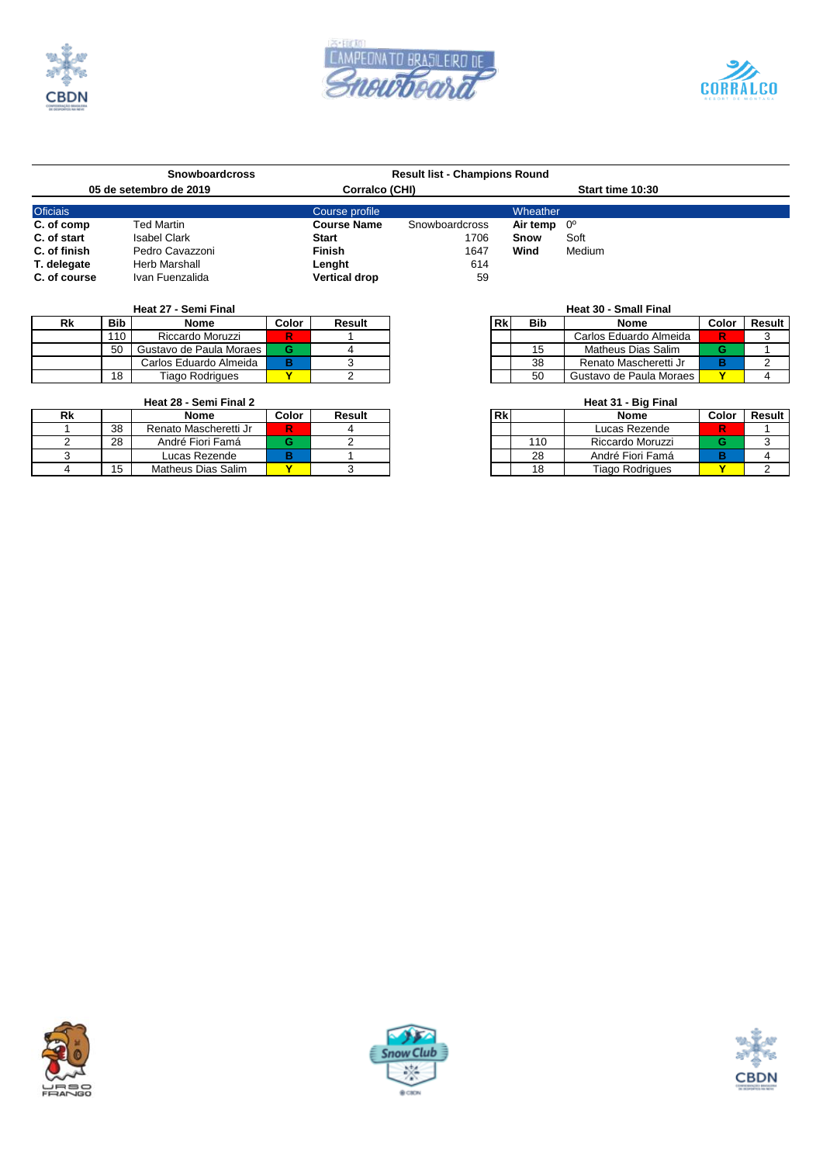





|                 | <b>Snowboardcross</b>  |                      | <b>Result list - Champions Round</b> |                      |                  |  |  |  |
|-----------------|------------------------|----------------------|--------------------------------------|----------------------|------------------|--|--|--|
|                 | 05 de setembro de 2019 | Corralco (CHI)       |                                      |                      | Start time 10:30 |  |  |  |
| <b>Oficiais</b> |                        | Course profile       |                                      | Wheather             |                  |  |  |  |
| C. of comp      | Ted Martin             | <b>Course Name</b>   | Snowboardcross                       | Air temp $0^{\circ}$ |                  |  |  |  |
| C. of start     | <b>Isabel Clark</b>    | <b>Start</b>         | 1706                                 | Snow                 | Soft             |  |  |  |
| C. of finish    | Pedro Cavazzoni        | <b>Finish</b>        | 1647                                 | Wind                 | Medium           |  |  |  |
| T. delegate     | Herb Marshall          | Lenght               | 614                                  |                      |                  |  |  |  |
| C. of course    | Ivan Fuenzalida        | <b>Vertical drop</b> | 59                                   |                      |                  |  |  |  |

| ĸк | <b>Bib</b> | Nome                      | Color | Result | Rk | <b>Bib</b> | Nome                    | Color | Result |
|----|------------|---------------------------|-------|--------|----|------------|-------------------------|-------|--------|
|    | 110        | Riccardo Moruzzi          | R     |        |    |            | Carlos Eduardo Almeida  |       |        |
|    | 50         | Gustavo de Paula Moraes I |       |        |    |            | Matheus Dias Salim      |       |        |
|    |            | Carlos Eduardo Almeida    |       |        |    | 38         | Renato Mascheretti Jr   |       |        |
|    | 18         | <b>Tiago Rodrigues</b>    |       |        |    | 50         | Gustavo de Paula Moraes |       |        |

# **Heat 28 - Semi Final 2 Heat 31 - Big Final**

|    |    |                       |       |        |    | - - - - - |                  |       |        |
|----|----|-----------------------|-------|--------|----|-----------|------------------|-------|--------|
| Rk |    | Nome                  | Color | Result | Rk |           | <b>Nome</b>      | Color | Result |
|    | 38 | Renato Mascheretti Jr |       |        |    |           | Lucas Rezende    |       |        |
|    | 28 | André Fiori Famá      |       |        |    | 110       | Riccardo Moruzzi |       |        |
|    |    | Lucas Rezende         |       |        |    | 28        | André Fiori Famá |       |        |
|    | 15 | Matheus Dias Salim    |       |        |    |           | Tiago Rodrigues  |       |        |

## **Heat 27 - Semi Final**<br> **Heat 30 - Small Final**<br> **Heat 30 - Small Final**<br> **Heat 30 - Small Final** 110 Carlos Eduardo Almeida<br>110 Matheus Dias Salim<br>110 Riccardo Mascheretti Jr **B** 3<br>120 Gustavo de Paula Moraes<br>1212 1312 1313 1324 1325 1326 1327 1328 1329 1328 1329 1328 1329 1328 1329 1328 1329 1328 1329 1328 1329 1328 **Matheus Dias Salim** Carlos Eduardo Almeida **B** 3 38 Renato Mascheretti Jr **B** 2 18 Tiago Rodrigues **Y** 2 50 Gustavo de Paula Moraes **Y** 4

| ₹k |            | Nome                  | Color | Result | Rk |     | <b>Nome</b>      | Color | Result I |
|----|------------|-----------------------|-------|--------|----|-----|------------------|-------|----------|
|    | 38         | Renato Mascheretti Jr | R     |        |    |     | Lucas Rezende    |       |          |
|    | 28         | André Fiori Famá      |       |        |    | 110 | Riccardo Moruzzi |       |          |
|    |            | Lucas Rezende         |       |        |    | 28  | André Fiori Famá |       |          |
|    | 1 F<br>ں ، | Matheus Dias Salim    |       |        |    | 18  | Tiago Rodrigues  |       |          |